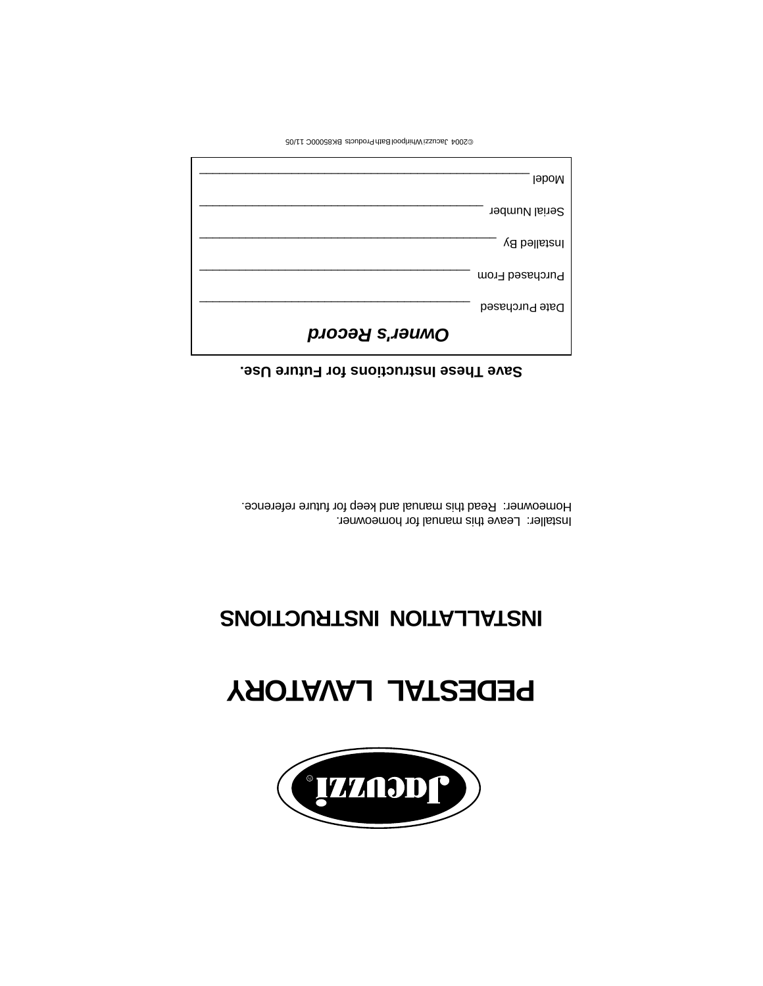

# **PEDESTAL LAVATORY**

## **INSTALLATION INSTRUCTIONS**

Installer: Leave this manual for homeowner. Homeowner: Read this manual and keep for future reference.

#### **Save These Instructions for Future Use.**

| <b>I</b> eboM         |
|-----------------------|
| Serial Number         |
| Installed By          |
| Purchased From        |
| Date Purchased        |
| <b>DWNEL'S Record</b> |

©2004 Jacuzzi Whirlpool Bath Products BK85000C 11/05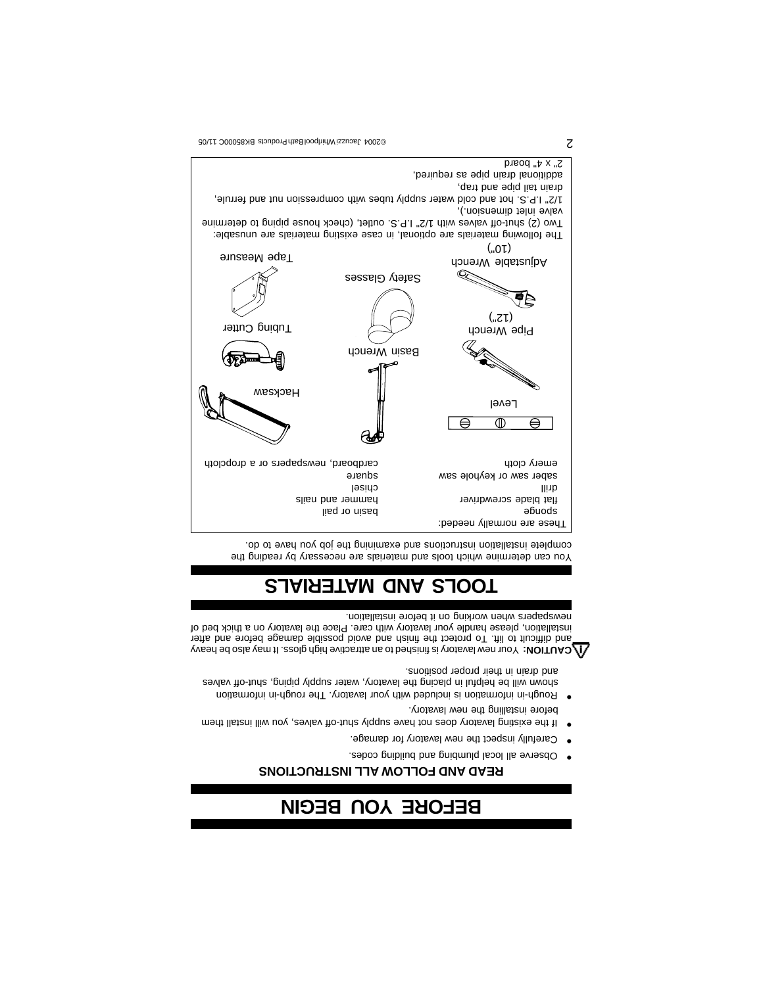## **BEFORE YOU BEGIN**

#### **READ AND FOLLOW ALL INSTRUCTIONS**

- Observe all local plumbing and building codes. •
- Carefully inspect the new lavatory for damage. •
- If the existing lavatory does not have supply shut-off valves, you will install them before installing the new lavatory.
- Rough-in information is included with your lavatory. The rough-in information information in placing the helpful in placing the lavatory of placing the helpful in placing  $\alpha$

and drain in their proper positions. Your new lavatory is the heaving to an attractive high gloss. It may also be heavy

and difficult to lift. To protect the finish and avoid possible damage before and after installation, please handle your lavatory with care. Place the lavatory on a thick bed of newspapers when working on it before installation.

### **TOOLS AND MATERIALS**

You can determine which tools and materials are necessary by reading the complete installation instructions and examining the job you have to do.



 $\sum$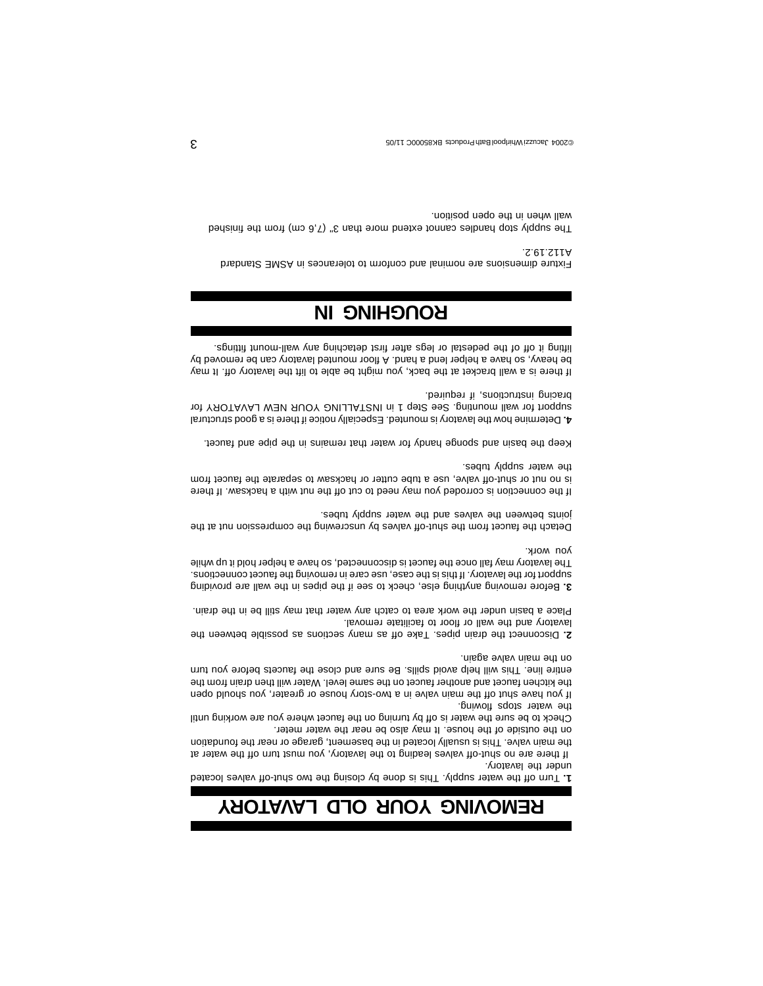### **REMOVING YOUR OLD LAVATORY**

Turn off the water supply. This is done by closing the two shut-off valves located **1.**  under the lavatory.

 If there are no shut-off valves leading to the lavatory, you must turn off the water at the main valve. This is usually located in the basement, garage or near the foundation on the outside of the house. It may also be near the water meter.

Check to be sure the water is off by turning on the faucet where you are working until the water stops flowing.

If you have shut off the main valve in a two-story house or greater, you should open the kitchen faucet and another faucet on the same level. Ideny thill then drain from the entire line. This will help avoid spills. Be sure and close the faucets before you turn on the main valve again.

Disconnect the drain pipes. Take off as many sections as possible between the **2.**  lavatory and the wall or floor to facilitate removal.

Place a basin under the work area to catch any water that may still be in the drain.

Before removing anything else, check to see if the pipes in the wall are providing **3.**  support for the lavatory. If this is the case, use care in removing the faucet connections. The lavatory may fall once the faucet is disconnected, so have a helper hold it up while you work.

Detach the faucet from the shut-off valves by unscrewing the compression nut at the joints between the valves and the water supply tubes.

If the connection is corroded you may need to cut off the nut with a hacksaw. If there is no nut or shut-off valve, use a tube cutter or hacksaw to separate the faucet from the water supply tubes.

Keep the basin and sponge handy for water that remains in the pipe and faucet.

Determine how the lavatory is mounted. Especially notice if there is a good structural **4.**  support for wall mounting. See Step 1 in INSTALLING YOUR NEW LAVATORY for bracing instructions, if required.

If there is a wall bracket at the back, you might be able to lift the lavatory off. It may be heavy, so have a helper lend a hand. A floor mounted lavatory can be removed by lifting it off of the pedestal or legs after first detaching any wall-mount fittings.

### **ROUGHING IN**

Fixture dimensions are nominal and conform to tolerances in ASME Standard A112.19.2.

The supply stop handles cannot extend more than 3" (7,6 cm) from the finished wall when in the open position.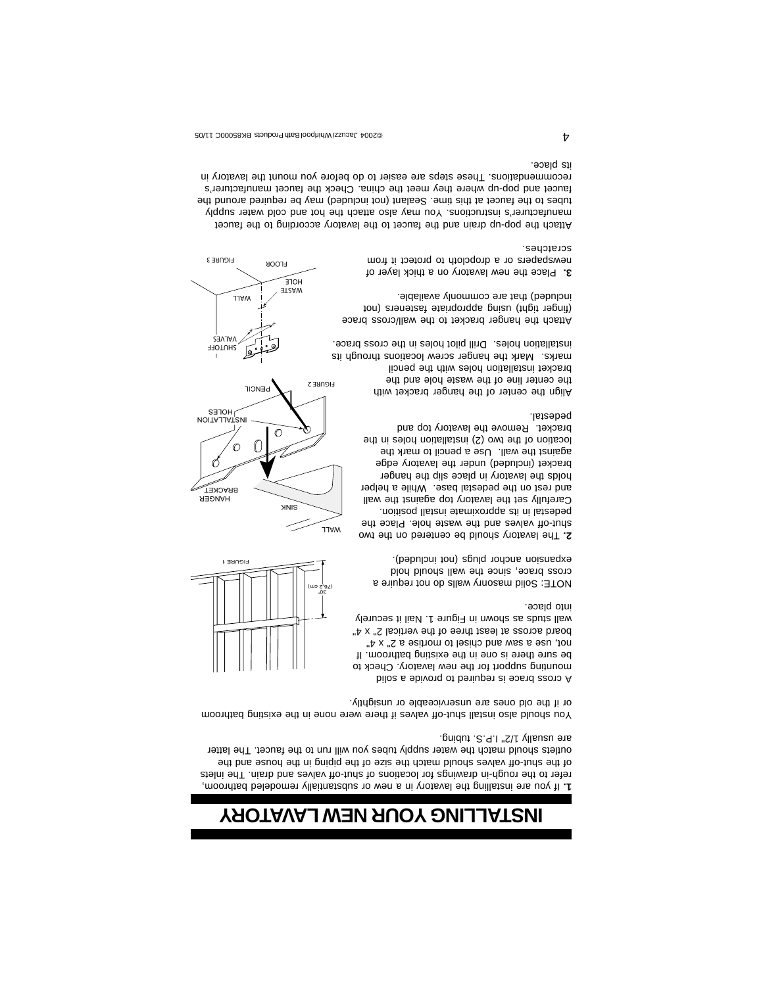### **INSTALLING YOUR NEW LAVATORY**

If you are installing the lavatory in a new or substantially remodeled bathroom, **1.**  refer to the rough-in drawings for locations of shut-off valves and drain. The inlets of the shut-off valves should match the size of the piping in the house and the outlets should match the water supply tubes you will run to the hat ancet. The latter are usually 1/2" I.P.S. tubing.

You should also install shut-off valves if there were none in the existing bathroom or if the old ones are unserviceable or unsightly.







FLOOR FIGURE 3

A cross brace is required to provide a solid mounting support for the new lavatory. Check to be sure there is one in the existing bathroom. If not, use a saw and chisel to mortise a 2" x 4" board across at least three of the vertical 2" x 4" wall studs as shown in Figure 1. Nail it securely into place.

NOTE: Solid masonry walls do not require a cross brace, since the wall should hold expansion anchor plugs (not included).

The lavatory should be centered on the two **2.**  shut-off valves and the waste hole. Place the pedestal in its approximate install position. Carefully set the lavatory top against the wall and rest on the pedestal base. While a helper holds the lavatory in place slip the hanger bracket (included) under the lavatory edge against the wall. Use a pencil to mark the location of the two (2) installation holes in the bracket. Remove the lavatory top and pedestal.

Align the center of the hanger bracket with the center line of the waste hole and the bracket installation holes with the pencil marks. Mark the hanger screw locations through its installation holes. Drill pilot holes in the cross brace.

Attach the hanger bracket to the wall/cross brace (finger tight) using appropriate fasteners (not included) that are commonly available.

Place the new lavatory on a thick layer of **3.**  newspapers or a dropcloth to protect it from scratches.

Attach the pop-up drain and the faucet to the lavatory according to the faucet manufacturer's instructions. You may also attach the hot and cold water supply tubes to the faucet at this time. Sealant (not included) may be required around the faucet and pop-up where they meet the china. Check the faucet manufacturer's recommendations. These steps are easier to do before you mount the lavatory in its place.

A contracts BK85000 Jacquari Medicine Bath Products BK85000C 11/05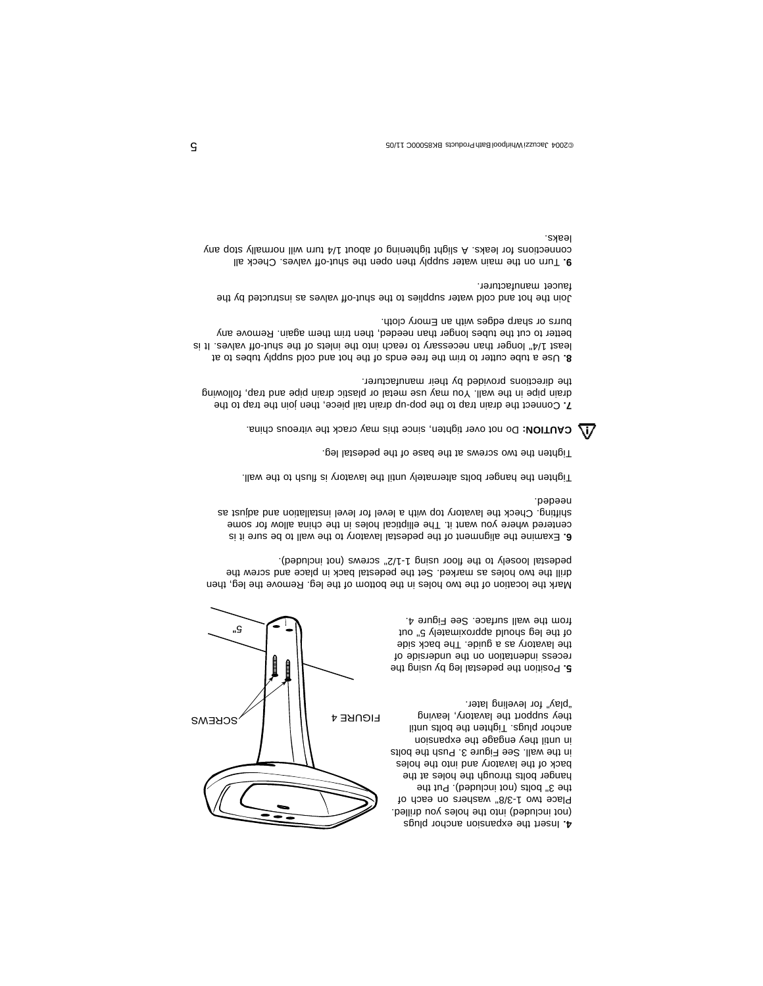

Position the pedestal leg by using the **5.**  recess indentation on the underside of the lavatory as a guide. The back side of the leg should approximately 5" out from the wall surface. See Figure 4.

Mark the location of the two holes in the bottom of the leg. Remove the leg, then drill the two holes as marked. Set the pedestal back in place and screw the pedestal loosely to the floor using 1-1/2" screws (not included).

Examine the alignment of the pedestal lavatory to the wall to be sure it is **6.**  centered where you want it. The elliptical holes in the china allow for some shifting. Check the lavatory top with a level for level installation and adjust as needed.

Tighten the hanger bolts alternately until the lavatory is flush to the wall.

Tighten the two screws at the base of the pedestal leg.

Do not over the ighten, since this may crack the vitreous china.

Connect the drain trap to the pop-up drain tail piece, then join the trap to the **7.**  drain pipe in the wall. You may use metal or plastic drain pipe and trap, following the directions provided by their manufacturer.

8. Use a tube cutter to trim the free ends of the hot and cold supply tubes to at least 1. And increases in than 1. Than 1. Is well as the shut-of the shut-off in the ship-ship is ship-ship va better to cut the tubes longer than needed, then trim them again. Remove any burrs or sharp edges with an Emory cloth.

Join the hot and cold water supplies to the shut-off valves as instructed by the faucet manufacturer.

Turn on the main water supply then open the shut-off valves. Check all **9.**  connections yile dots will have the theory of about 1/4 turn will nonmally stop any leaks.

5"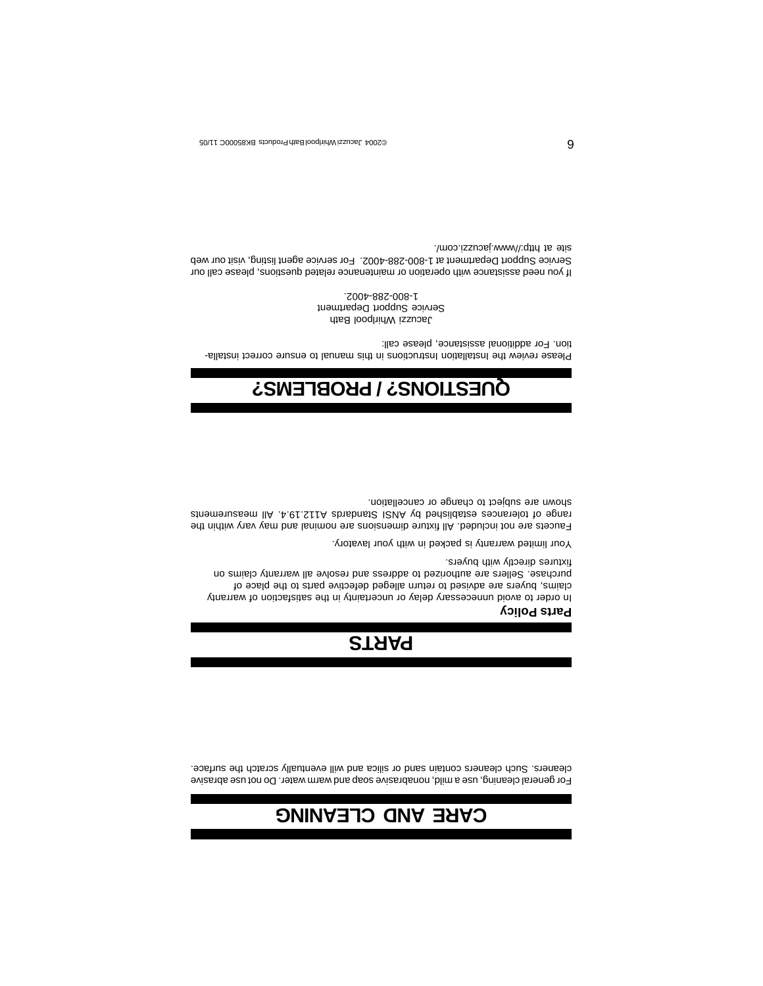### **CARE AND CLEANING**

For general cleaning, use a mild, nonabrasive soap and warm water. Do not use abrasive cleaners. Such cleaners contain sand or silica and will eventually scratch the surface.

## **PARTS**

#### **Parts Policy**

In order to avoid unnecessary delay or uncertainty in the satisfaction of warranty claims, buyers are advised to return alleged defective parts to the place of purchase. Sellers are authorized to address and resolve all warranty claims on fixtures directly with buyers.

Your limited warranty is packed in with your lavatory.

Faucets are not included. All fixture dimensions are nominal and may vary within the range of tolerances established by ANSI Standards A112.19.4. All measurements shown are subject to change or cancellation.

### **QUESTIONS? / PROBLEMS?**

Please review the Installation Instructions in this manual to ensure correct installation. For additional assistance, please call:

Jacuzzi Whirlpool Bath Service Support Department 1-800-288-4002.

If you need assistance with operation or maintenance related questions, please call our Service Support Department at 1-800-288-4002. For service agent listing, visit our web site at http://www.jacuzzi.com/.

O CONCLUSTING BROOM ON THE PROTOCALL BASEGOOD CONTROL BROOM OF THE PRODUCT 11/05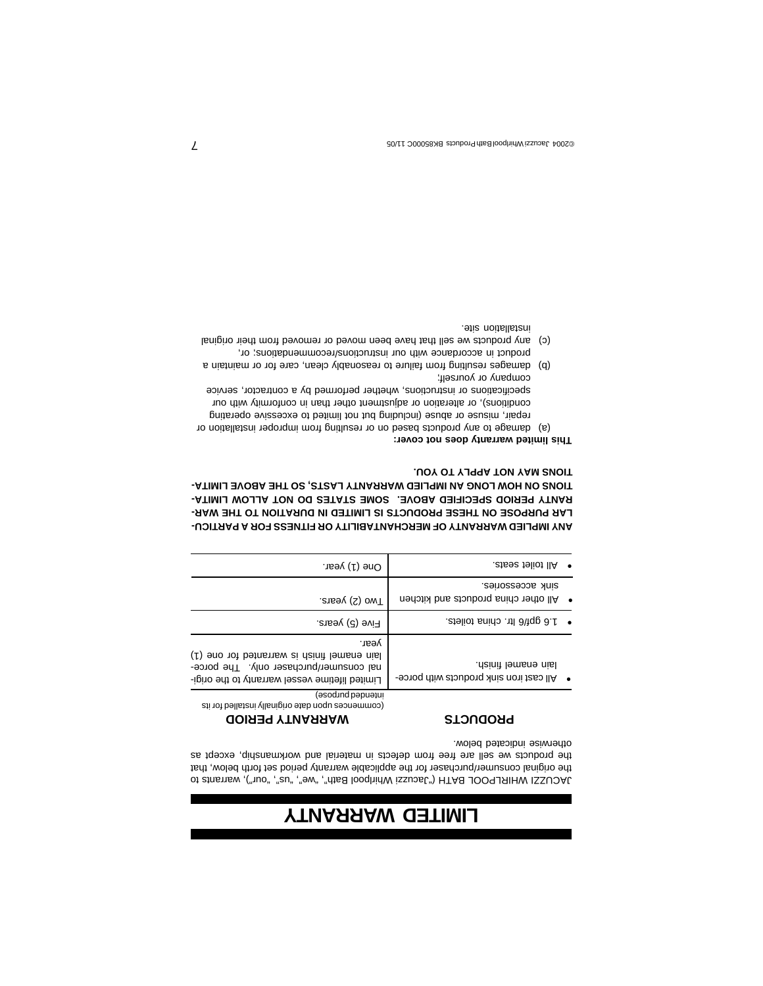### **LIMITED WARRANTY**

JACUZZI WHIRLPOOL BATH ("Jacuzzi Whirlpool Bath", "we", "us", "our"), warrants to the original consumer/purchaser for the applicable warranty period set forth below, that the products we sell are free from defects in material and workmanship, except as otherwise indicated below.

**WARRANTY PERIOD**

#### **PRODUCTS**

| $\cdot$ at the seats.                                            | One $(1)$ year.                                                                                                                                   |
|------------------------------------------------------------------|---------------------------------------------------------------------------------------------------------------------------------------------------|
| seinosseope Anies.<br>All other china products and kitchen       | .aneey (2) owT                                                                                                                                    |
| $\cdot$ and apt/6 Itr. china toilets.                            | .anee (5) years.                                                                                                                                  |
| Iain enamel finish.<br>• All cast iron sink products with porce- | yesr.<br>(t) eno tot betristing at right lemene nist<br>nal consumer/purchaser only. The porce-<br>Limited lifetime vessel warranty to the origi- |
|                                                                  | (əsod ud pəpuətu<br>commences upon date originally installed for its                                                                              |

#### **ANY IMPLIED WARRANTY OF MERCHANTABILITY OR FITNESS FOR A PARTICU-**LAR PURPOSE ON THESE PRODUCTS IS LIMITED IN DURATION TO THE WAR-RANTY PERIOD SPECIFIED ABOVE. SOME STATES DO NOT ALLOW LIMITA-TIONS ON HOW LONG AN IMPLIED WARRANTY LASTS, SO THE ABOVE LIMITA-**TIONS MAY NOT APPLY TO YOU.**

#### **This limited warranty does not cover:**

- (a) damage to any products based on or resulting from improper installation or repair, misuse or abuse (including but not limited to excessive operating conditions), or alteration or adjustment other than in conformity with our specifications or instructions, whether performed by a contractor, service company or yourself;
- (b) damages resulting from failure to reasonably clean, care for or maintain a product in accordance with our instructions/recommendations; or,
- (c) any products we sell that have been moved or removed from their original installation site.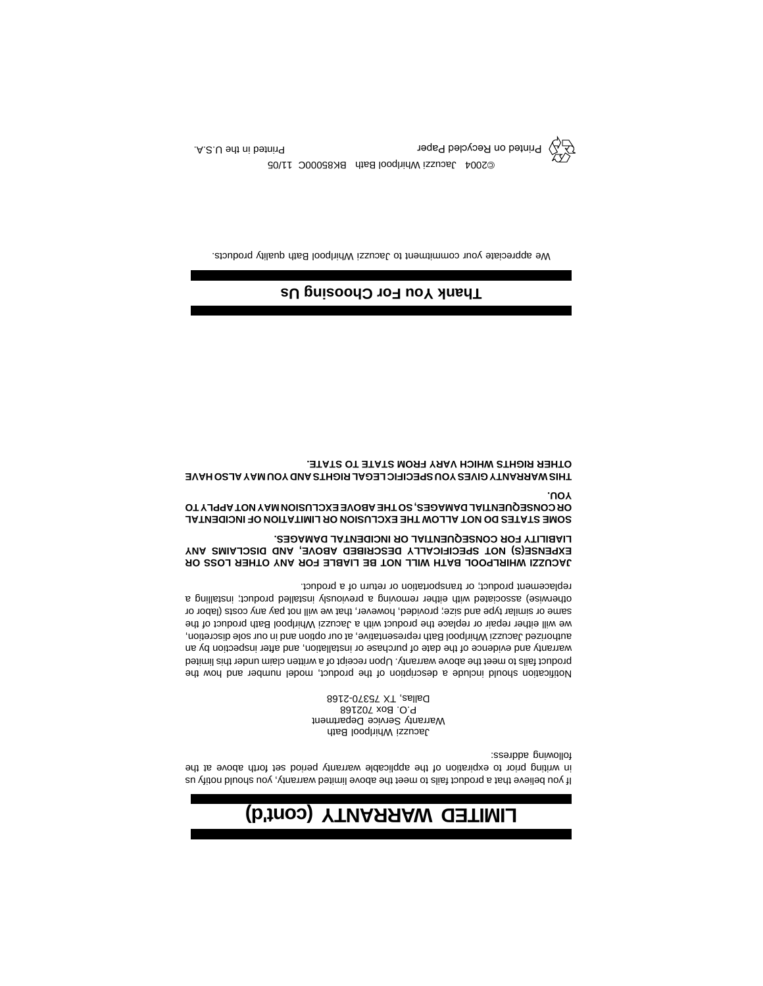## **LIMITED WARRANTY (cont'd)**

If you believe that a product fails to meet the above limited warranty, you should notify us in writing prior to expiration of the applicable warranty period set forth above at the following address:

Jacuzzi Whirlpool Bath Warranty Service Department P.O. Box 702168 Dallas, TX 75370-2168

Notification should include a description of the product, model number and how the product fails to meet the above warranty. Upon receipt of a written claim under this limited warranty and evidence of the date of purchase or installation, and after inspection by an authorized Jacuzzi Whirlpool Bath representative, at our option and in our sole discretion, we will either repair or replace the product with a Jacuzzi Whirlpool Bath product of the same or similar type and size; provided, however, that we will not pay any costs (labor or otherwise) associated with either removing a previously installed product; installing a replacement product; or transportation or return of a product.

**JACUZZI WHIRLPOOL BATH WILL NOT BE LIABLE FOR ANY OTHER LOSS OR EXPENSE(S) NOT SPECIFICALLY DESCRIBED ABOVE, AND DISCLAIMS ANY LIABILITY FOR CONSEQUENTIAL OR INCIDENTAL DAMAGES.**

SOME STATES DO NOT ALLOW THE EXCLUSION OR LIMITATION OF INCIDENTAL **OR CONSEQUENTIAL DAMAGES, SO THE ABOVE EXCLUSION MAY NOT APPLY TO YOU.**

**THIS WARRANTY GIVES YOU SPECIFIC LEGAL RIGHTS AND YOU MAY ALSO HAVE OTHER RIGHTS WHICH VARY FROM STATE TO STATE.**

#### **Thank You For Choosing Us**

We appreciate your commitment to Jacuzzi Whirlpool Bath quality products.



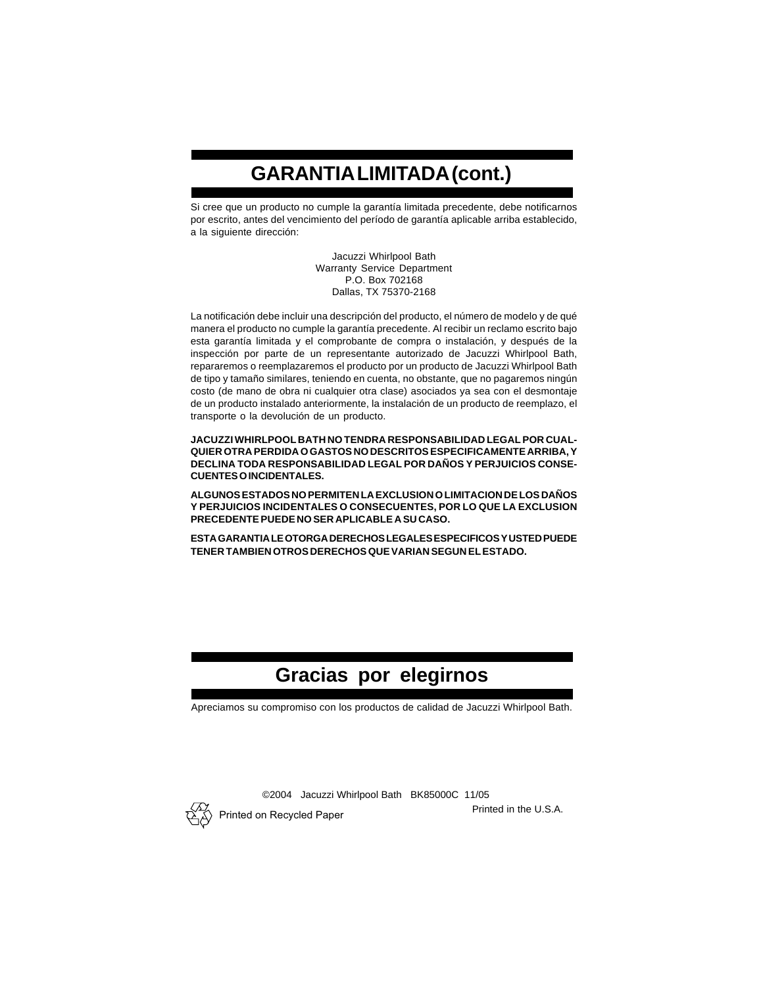### **GARANTIA LIMITADA (cont.)**

Si cree que un producto no cumple la garantía limitada precedente, debe notificarnos por escrito, antes del vencimiento del período de garantía aplicable arriba establecido, a la siguiente dirección:

> Jacuzzi Whirlpool Bath Warranty Service Department P.O. Box 702168 Dallas, TX 75370-2168

La notificación debe incluir una descripción del producto, el número de modelo y de qué manera el producto no cumple la garantía precedente. Al recibir un reclamo escrito bajo esta garantía limitada y el comprobante de compra o instalación, y después de la inspección por parte de un representante autorizado de Jacuzzi Whirlpool Bath, repararemos o reemplazaremos el producto por un producto de Jacuzzi Whirlpool Bath de tipo y tamaño similares, teniendo en cuenta, no obstante, que no pagaremos ningún costo (de mano de obra ni cualquier otra clase) asociados ya sea con el desmontaje de un producto instalado anteriormente, la instalación de un producto de reemplazo, el transporte o la devolución de un producto.

**JACUZZI WHIRLPOOL BATH NO TENDRA RESPONSABILIDAD LEGAL POR CUAL-QUIER OTRA PERDIDA O GASTOS NO DESCRITOS ESPECIFICAMENTE ARRIBA, Y DECLINA TODA RESPONSABILIDAD LEGAL POR DAÑOS Y PERJUICIOS CONSE-CUENTES O INCIDENTALES.**

**ALGUNOS ESTADOS NO PERMITEN LA EXCLUSION O LIMITACION DE LOS DAÑOS Y PERJUICIOS INCIDENTALES O CONSECUENTES, POR LO QUE LA EXCLUSION PRECEDENTE PUEDE NO SER APLICABLE A SU CASO.**

**ESTA GARANTIA LE OTORGA DERECHOS LEGALES ESPECIFICOS Y USTED PUEDE TENER TAMBIEN OTROS DERECHOS QUE VARIAN SEGUN EL ESTADO.**

#### **Gracias por elegirnos**

Apreciamos su compromiso con los productos de calidad de Jacuzzi Whirlpool Bath.



©2004 Jacuzzi Whirlpool Bath BK85000C 11/05

Printed in the U.S.A. Printed on Recycled Paper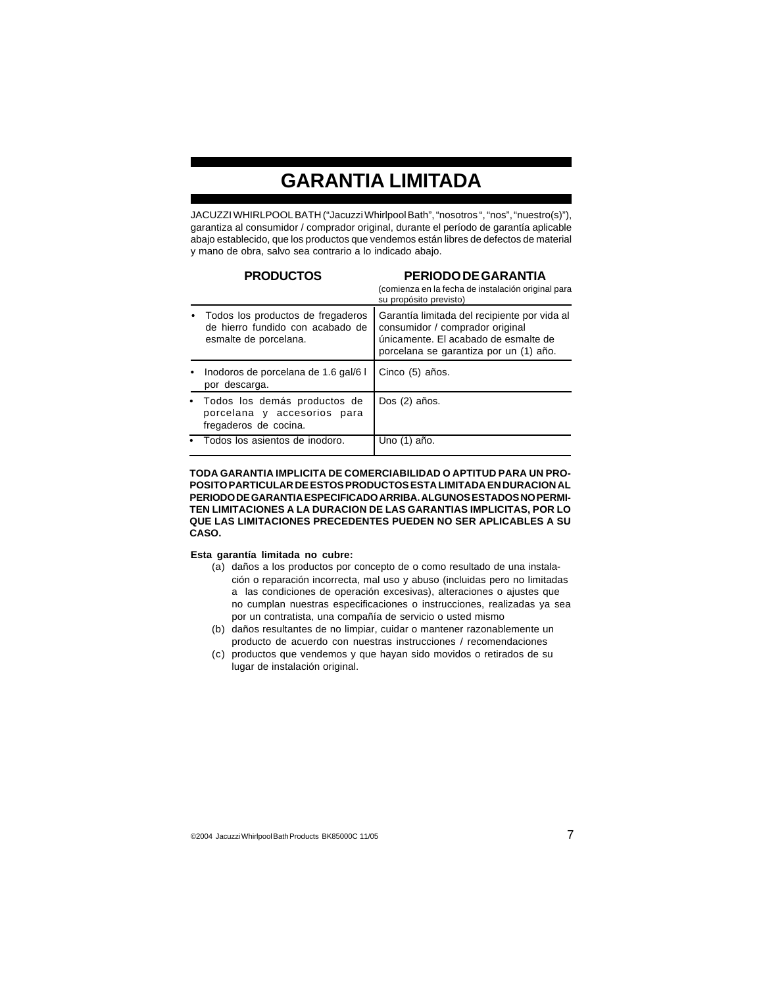### **GARANTIA LIMITADA**

JACUZZI WHIRLPOOL BATH ("Jacuzzi Whirlpool Bath", "nosotros ", "nos", "nuestro(s)"), garantiza al consumidor / comprador original, durante el período de garantía aplicable abajo establecido, que los productos que vendemos están libres de defectos de material y mano de obra, salvo sea contrario a lo indicado abajo.

|   | <b>PRODUCTOS</b>                                                                               | PERIODO DE GARANTIA<br>(comienza en la fecha de instalación original para<br>su propósito previsto)                                                               |
|---|------------------------------------------------------------------------------------------------|-------------------------------------------------------------------------------------------------------------------------------------------------------------------|
|   | Todos los productos de fregaderos<br>de hierro fundido con acabado de<br>esmalte de porcelana. | Garantía limitada del recipiente por vida al<br>consumidor / comprador original<br>únicamente. El acabado de esmalte de<br>porcelana se garantiza por un (1) año. |
| ٠ | Inodoros de porcelana de 1.6 gal/6 l<br>por descarga.                                          | Cinco (5) años.                                                                                                                                                   |
|   | • Todos los demás productos de<br>porcelana y accesorios para<br>fregaderos de cocina.         | Dos (2) años.                                                                                                                                                     |
|   | • Todos los asientos de inodoro.                                                               | Uno (1) año.                                                                                                                                                      |

**TODA GARANTIA IMPLICITA DE COMERCIABILIDAD O APTITUD PARA UN PRO-POSITO PARTICULAR DE ESTOS PRODUCTOS ESTA LIMITADA EN DURACION AL PERIODO DE GARANTIA ESPECIFICADO ARRIBA. ALGUNOS ESTADOS NO PERMI-TEN LIMITACIONES A LA DURACION DE LAS GARANTIAS IMPLICITAS, POR LO QUE LAS LIMITACIONES PRECEDENTES PUEDEN NO SER APLICABLES A SU CASO.**

#### **Esta garantía limitada no cubre:**

- (a) daños a los productos por concepto de o como resultado de una instalación o reparación incorrecta, mal uso y abuso (incluidas pero no limitadas a las condiciones de operación excesivas), alteraciones o ajustes que no cumplan nuestras especificaciones o instrucciones, realizadas ya sea por un contratista, una compañía de servicio o usted mismo
- (b) daños resultantes de no limpiar, cuidar o mantener razonablemente un producto de acuerdo con nuestras instrucciones / recomendaciones
- (c) productos que vendemos y que hayan sido movidos o retirados de su lugar de instalación original.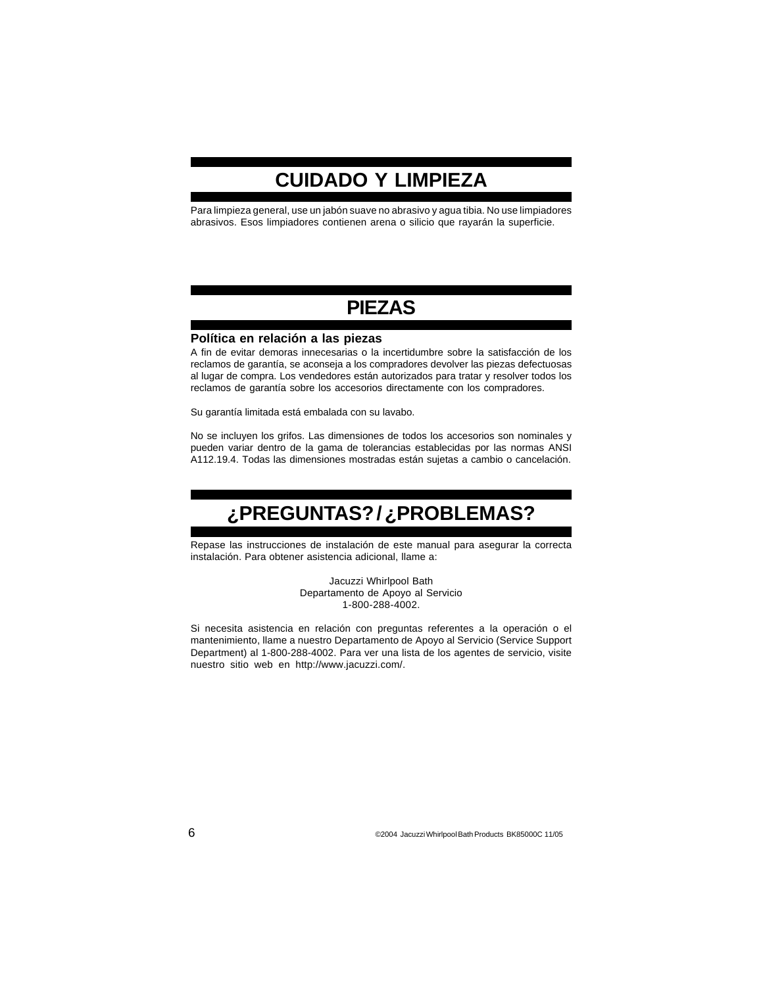### **CUIDADO Y LIMPIEZA**

Para limpieza general, use un jabón suave no abrasivo y agua tibia. No use limpiadores abrasivos. Esos limpiadores contienen arena o silicio que rayarán la superficie.

#### **PIEZAS**

#### **Política en relación a las piezas**

A fin de evitar demoras innecesarias o la incertidumbre sobre la satisfacción de los reclamos de garantía, se aconseja a los compradores devolver las piezas defectuosas al lugar de compra. Los vendedores están autorizados para tratar y resolver todos los reclamos de garantía sobre los accesorios directamente con los compradores.

Su garantía limitada está embalada con su lavabo.

No se incluyen los grifos. Las dimensiones de todos los accesorios son nominales y pueden variar dentro de la gama de tolerancias establecidas por las normas ANSI A112.19.4. Todas las dimensiones mostradas están sujetas a cambio o cancelación.

### **¿PREGUNTAS? / ¿PROBLEMAS?**

Repase las instrucciones de instalación de este manual para asegurar la correcta instalación. Para obtener asistencia adicional, llame a:

> Jacuzzi Whirlpool Bath Departamento de Apoyo al Servicio 1-800-288-4002.

Si necesita asistencia en relación con preguntas referentes a la operación o el mantenimiento, llame a nuestro Departamento de Apoyo al Servicio (Service Support Department) al 1-800-288-4002. Para ver una lista de los agentes de servicio, visite nuestro sitio web en http://www.jacuzzi.com/.

6 ©2004 Jacuzzi Whirlpool Bath Products BK85000C 11/05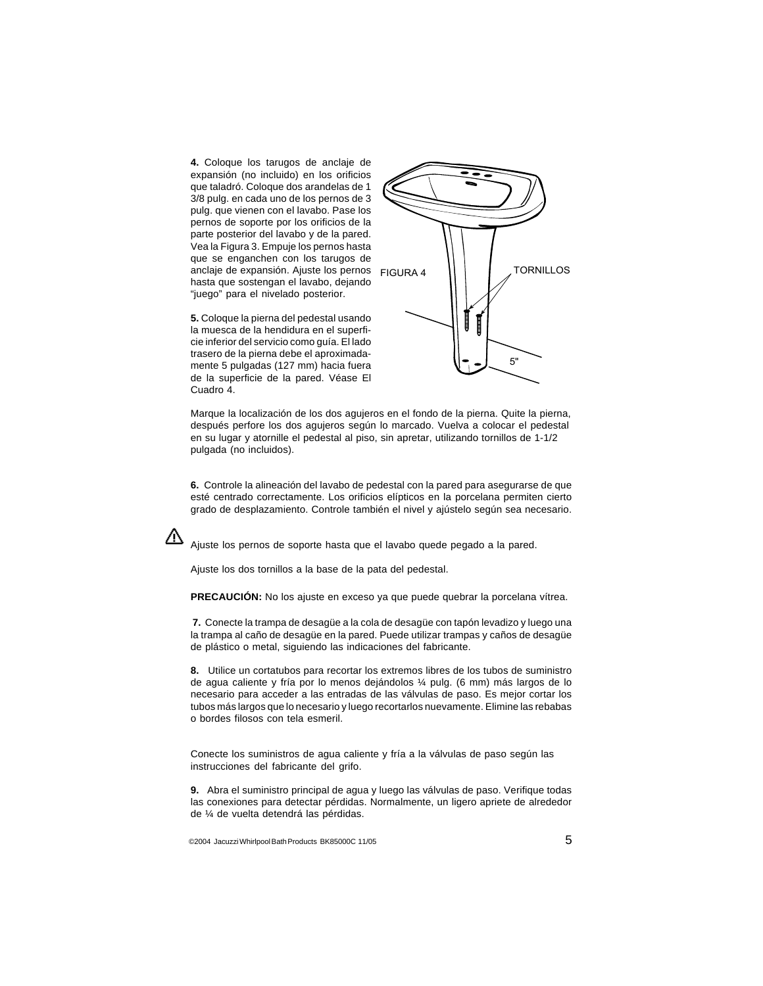**4.** Coloque los tarugos de anclaje de expansión (no incluido) en los orificios que taladró. Coloque dos arandelas de 1 3/8 pulg. en cada uno de los pernos de 3 pulg. que vienen con el lavabo. Pase los pernos de soporte por los orificios de la parte posterior del lavabo y de la pared. Vea la Figura 3. Empuje los pernos hasta que se enganchen con los tarugos de anclaje de expansión. Ajuste los pernos hasta que sostengan el lavabo, dejando "juego" para el nivelado posterior.

**5.** Coloque la pierna del pedestal usando la muesca de la hendidura en el superficie inferior del servicio como guía. El lado trasero de la pierna debe el aproximadamente 5 pulgadas (127 mm) hacia fuera de la superficie de la pared. Véase El Cuadro 4.



Marque la localización de los dos agujeros en el fondo de la pierna. Quite la pierna, después perfore los dos agujeros según lo marcado. Vuelva a colocar el pedestal en su lugar y atornille el pedestal al piso, sin apretar, utilizando tornillos de 1-1/2 pulgada (no incluidos).

**6.** Controle la alineación del lavabo de pedestal con la pared para asegurarse de que esté centrado correctamente. Los orificios elípticos en la porcelana permiten cierto grado de desplazamiento. Controle también el nivel y ajústelo según sea necesario.

Ajuste los pernos de soporte hasta que el lavabo quede pegado a la pared.

Ajuste los dos tornillos a la base de la pata del pedestal.

**PRECAUCIÓN:** No los ajuste en exceso ya que puede quebrar la porcelana vítrea.

 **7.** Conecte la trampa de desagüe a la cola de desagüe con tapón levadizo y luego una la trampa al caño de desagüe en la pared. Puede utilizar trampas y caños de desagüe de plástico o metal, siguiendo las indicaciones del fabricante.

**8.** Utilice un cortatubos para recortar los extremos libres de los tubos de suministro de agua caliente y fría por lo menos dejándolos ¼ pulg. (6 mm) más largos de lo necesario para acceder a las entradas de las válvulas de paso. Es mejor cortar los tubos más largos que lo necesario y luego recortarlos nuevamente. Elimine las rebabas o bordes filosos con tela esmeril.

Conecte los suministros de agua caliente y fría a la válvulas de paso según las instrucciones del fabricante del grifo.

**9.** Abra el suministro principal de agua y luego las válvulas de paso. Verifique todas las conexiones para detectar pérdidas. Normalmente, un ligero apriete de alrededor de ¼ de vuelta detendrá las pérdidas.

©2004 Jacuzzi Whirlpool Bath Products BK85000C 11/05  $\hspace{1.5cm}5$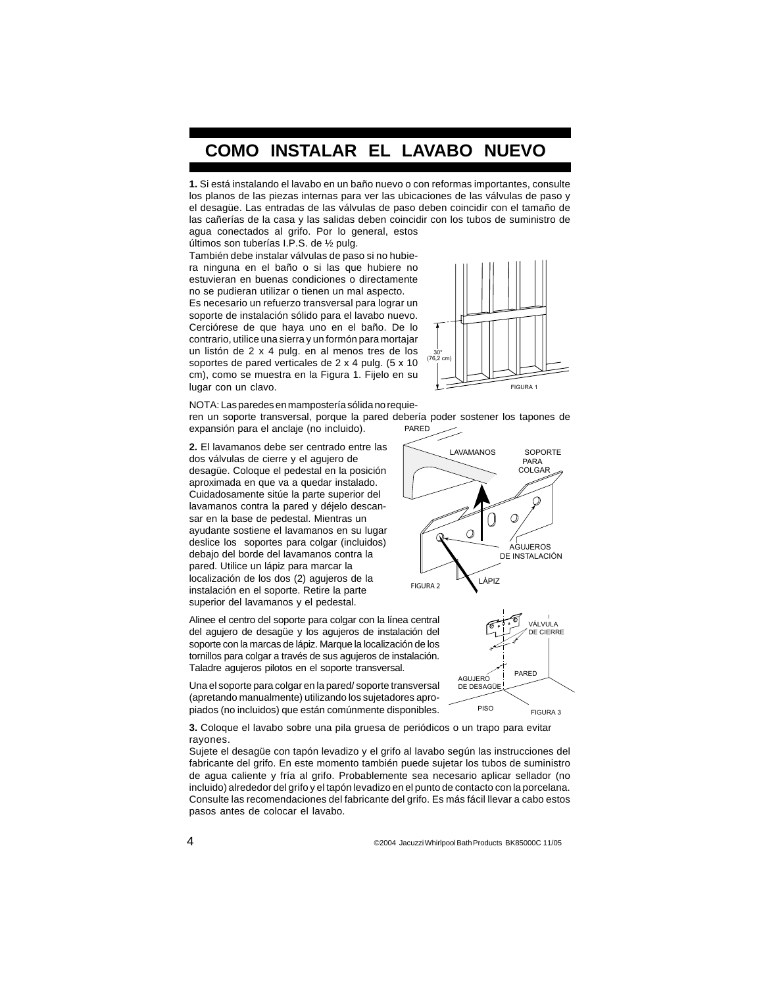#### **COMO INSTALAR EL LAVABO NUEVO**

**1.** Si está instalando el lavabo en un baño nuevo o con reformas importantes, consulte los planos de las piezas internas para ver las ubicaciones de las válvulas de paso y el desagüe. Las entradas de las válvulas de paso deben coincidir con el tamaño de las cañerías de la casa y las salidas deben coincidir con los tubos de suministro de agua conectados al grifo. Por lo general, estos

últimos son tuberías I.P.S. de ½ pulg.

También debe instalar válvulas de paso si no hubiera ninguna en el baño o si las que hubiere no estuvieran en buenas condiciones o directamente no se pudieran utilizar o tienen un mal aspecto. Es necesario un refuerzo transversal para lograr un soporte de instalación sólido para el lavabo nuevo. Cerciórese de que haya uno en el baño. De lo contrario, utilice una sierra y un formón para mortajar un listón de 2 x 4 pulg. en al menos tres de los soportes de pared verticales de 2 x 4 pulg. (5 x 10 cm), como se muestra en la Figura 1. Fijelo en su lugar con un clavo.



NOTA: Las paredes en mampostería sólida no requieren un soporte transversal, porque la pared debería poder sostener los tapones de expansión para el anclaje (no incluido). PARED

**2.** El lavamanos debe ser centrado entre las dos válvulas de cierre y el agujero de desagüe. Coloque el pedestal en la posición aproximada en que va a quedar instalado. Cuidadosamente sitúe la parte superior del lavamanos contra la pared y déjelo descansar en la base de pedestal. Mientras un ayudante sostiene el lavamanos en su lugar deslice los soportes para colgar (incluidos) debajo del borde del lavamanos contra la pared. Utilice un lápiz para marcar la localización de los dos (2) agujeros de la instalación en el soporte. Retire la parte superior del lavamanos y el pedestal.





Alinee el centro del soporte para colgar con la línea central del agujero de desagüe y los agujeros de instalación del soporte con la marcas de lápiz. Marque la localización de los tornillos para colgar a través de sus agujeros de instalación. Taladre agujeros pilotos en el soporte transversal.

Una el soporte para colgar en la pared/ soporte transversal (apretando manualmente) utilizando los sujetadores apropiados (no incluidos) que están comúnmente disponibles.

**3.** Coloque el lavabo sobre una pila gruesa de periódicos o un trapo para evitar rayones.

Sujete el desagüe con tapón levadizo y el grifo al lavabo según las instrucciones del fabricante del grifo. En este momento también puede sujetar los tubos de suministro de agua caliente y fría al grifo. Probablemente sea necesario aplicar sellador (no incluido) alrededor del grifo y el tapón levadizo en el punto de contacto con la porcelana. Consulte las recomendaciones del fabricante del grifo. Es más fácil llevar a cabo estos pasos antes de colocar el lavabo.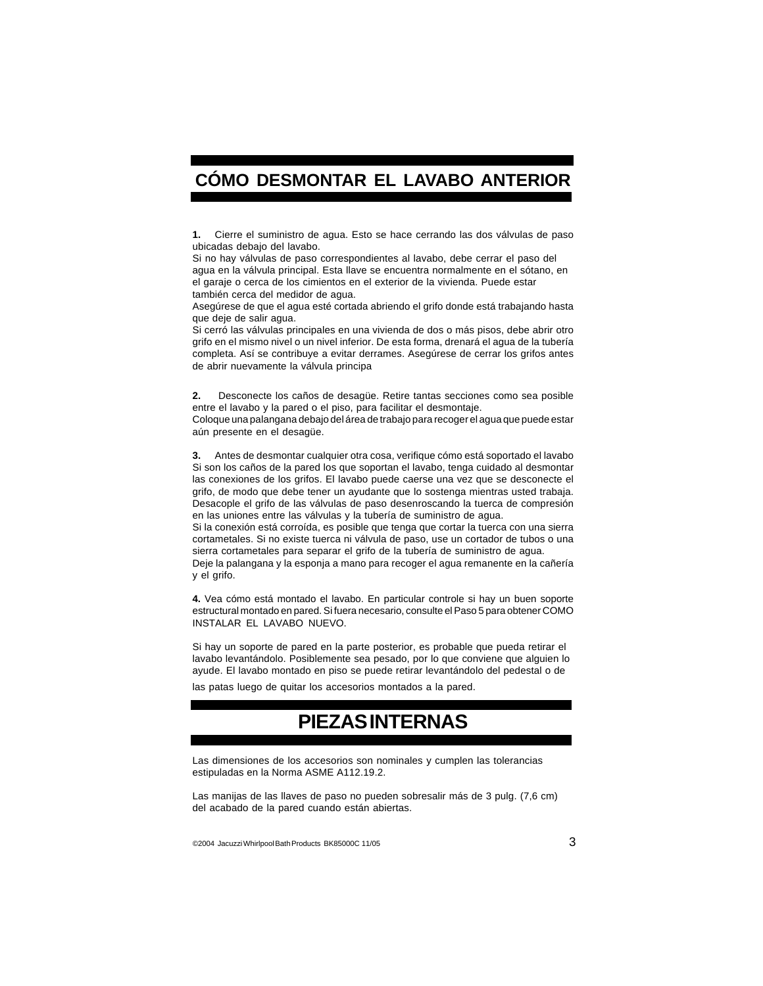#### **CÓMO DESMONTAR EL LAVABO ANTERIOR**

**1.** Cierre el suministro de agua. Esto se hace cerrando las dos válvulas de paso ubicadas debajo del lavabo.

Si no hay válvulas de paso correspondientes al lavabo, debe cerrar el paso del agua en la válvula principal. Esta llave se encuentra normalmente en el sótano, en el garaje o cerca de los cimientos en el exterior de la vivienda. Puede estar también cerca del medidor de agua.

Asegúrese de que el agua esté cortada abriendo el grifo donde está trabajando hasta que deje de salir agua.

Si cerró las válvulas principales en una vivienda de dos o más pisos, debe abrir otro grifo en el mismo nivel o un nivel inferior. De esta forma, drenará el agua de la tubería completa. Así se contribuye a evitar derrames. Asegúrese de cerrar los grifos antes de abrir nuevamente la válvula principa

**2.** Desconecte los caños de desagüe. Retire tantas secciones como sea posible entre el lavabo y la pared o el piso, para facilitar el desmontaje.

Coloque una palangana debajo del área de trabajo para recoger el agua que puede estar aún presente en el desagüe.

**3.** Antes de desmontar cualquier otra cosa, verifique cómo está soportado el lavabo Si son los caños de la pared los que soportan el lavabo, tenga cuidado al desmontar las conexiones de los grifos. El lavabo puede caerse una vez que se desconecte el grifo, de modo que debe tener un ayudante que lo sostenga mientras usted trabaja. Desacople el grifo de las válvulas de paso desenroscando la tuerca de compresión en las uniones entre las válvulas y la tubería de suministro de agua.

Si la conexión está corroída, es posible que tenga que cortar la tuerca con una sierra cortametales. Si no existe tuerca ni válvula de paso, use un cortador de tubos o una sierra cortametales para separar el grifo de la tubería de suministro de agua.

Deje la palangana y la esponja a mano para recoger el agua remanente en la cañería y el grifo.

**4.** Vea cómo está montado el lavabo. En particular controle si hay un buen soporte estructural montado en pared. Si fuera necesario, consulte el Paso 5 para obtener COMO INSTALAR EL LAVABO NUEVO.

Si hay un soporte de pared en la parte posterior, es probable que pueda retirar el lavabo levantándolo. Posiblemente sea pesado, por lo que conviene que alguien lo ayude. El lavabo montado en piso se puede retirar levantándolo del pedestal o de

las patas luego de quitar los accesorios montados a la pared.

#### **PIEZAS INTERNAS**

Las dimensiones de los accesorios son nominales y cumplen las tolerancias estipuladas en la Norma ASME A112.19.2.

Las manijas de las llaves de paso no pueden sobresalir más de 3 pulg. (7,6 cm) del acabado de la pared cuando están abiertas.

©2004 Jacuzzi Whirlpool Bath Products BK85000C 11/05 3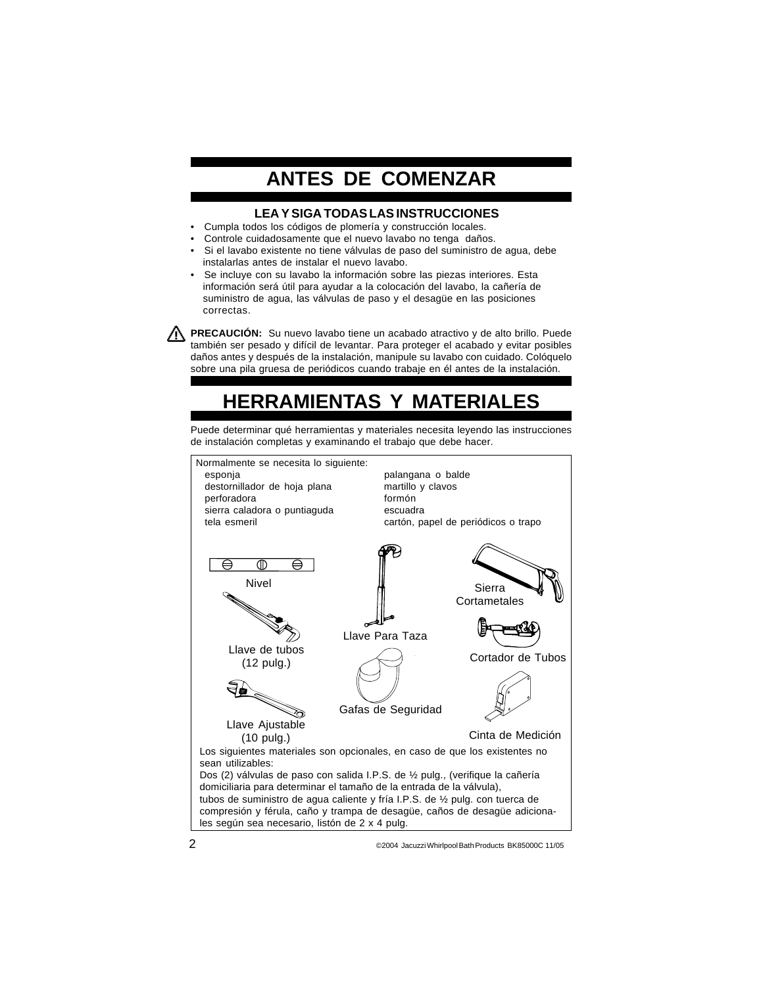### **ANTES DE COMENZAR**

#### **LEA Y SIGA TODAS LAS INSTRUCCIONES**

- •Cumpla todos los códigos de plomería y construcción locales.
- •Controle cuidadosamente que el nuevo lavabo no tenga daños.
- • Si el lavabo existente no tiene válvulas de paso del suministro de agua, debe instalarlas antes de instalar el nuevo lavabo.
- • Se incluye con su lavabo la información sobre las piezas interiores. Esta información será útil para ayudar a la colocación del lavabo, la cañería de suministro de agua, las válvulas de paso y el desagüe en las posiciones correctas.

**PRECAUCIÓN:** Su nuevo lavabo tiene un acabado atractivo y de alto brillo. Puede también ser pesado y difícil de levantar. Para proteger el acabado y evitar posibles daños antes y después de la instalación, manipule su lavabo con cuidado. Colóquelo sobre una pila gruesa de periódicos cuando trabaje en él antes de la instalación.

#### **HERRAMIENTAS Y MATERIALES**

Puede determinar qué herramientas y materiales necesita leyendo las instrucciones de instalación completas y examinando el trabajo que debe hacer.